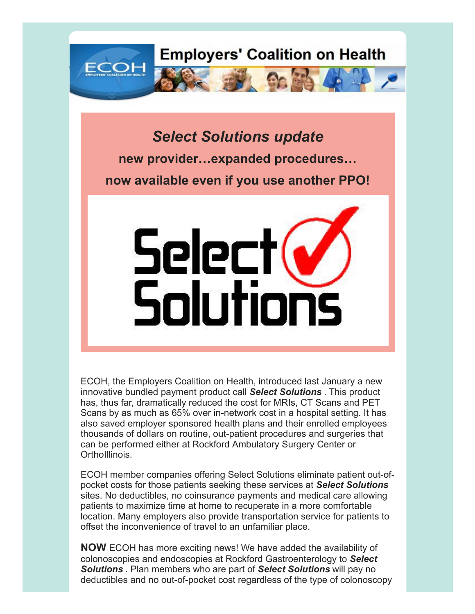

*Select Solutions update* **new provider…expanded procedures… now available even if you use another PPO!**



ECOH, the Employers Coalition on Health, introduced last January a new innovative bundled payment product call *Select Solutions* . This product has, thus far, dramatically reduced the cost for MRIs, CT Scans and PET Scans by as much as 65% over in-network cost in a hospital setting. It has also saved employer sponsored health plans and their enrolled employees thousands of dollars on routine, out-patient procedures and surgeries that can be performed either at Rockford Ambulatory Surgery Center or OrthoIllinois.

ECOH member companies offering Select Solutions eliminate patient out-ofpocket costs for those patients seeking these services at *Select Solutions* sites. No deductibles, no coinsurance payments and medical care allowing patients to maximize time at home to recuperate in a more comfortable location. Many employers also provide transportation service for patients to offset the inconvenience of travel to an unfamiliar place.

**NOW** ECOH has more exciting news! We have added the availability of colonoscopies and endoscopies at Rockford Gastroenterology to *Select Solutions* . Plan members who are part of *Select Solutions* will pay no deductibles and no out-of-pocket cost regardless of the type of colonoscopy